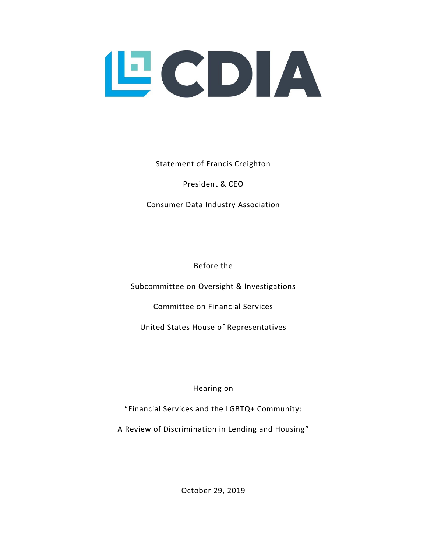

Statement of Francis Creighton

President & CEO

Consumer Data Industry Association

Before the

Subcommittee on Oversight & Investigations

Committee on Financial Services

United States House of Representatives

Hearing on

"Financial Services and the LGBTQ+ Community:

A Review of Discrimination in Lending and Housing"

October 29, 2019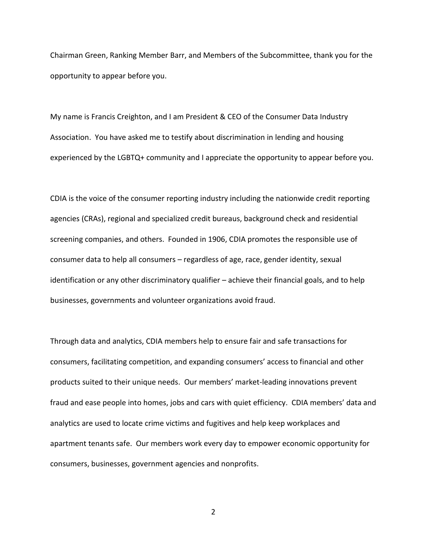Chairman Green, Ranking Member Barr, and Members of the Subcommittee, thank you for the opportunity to appear before you.

My name is Francis Creighton, and I am President & CEO of the Consumer Data Industry Association. You have asked me to testify about discrimination in lending and housing experienced by the LGBTQ+ community and I appreciate the opportunity to appear before you.

CDIA is the voice of the consumer reporting industry including the nationwide credit reporting agencies (CRAs), regional and specialized credit bureaus, background check and residential screening companies, and others. Founded in 1906, CDIA promotes the responsible use of consumer data to help all consumers – regardless of age, race, gender identity, sexual identification or any other discriminatory qualifier – achieve their financial goals, and to help businesses, governments and volunteer organizations avoid fraud.

Through data and analytics, CDIA members help to ensure fair and safe transactions for consumers, facilitating competition, and expanding consumers' access to financial and other products suited to their unique needs. Our members' market-leading innovations prevent fraud and ease people into homes, jobs and cars with quiet efficiency. CDIA members' data and analytics are used to locate crime victims and fugitives and help keep workplaces and apartment tenants safe. Our members work every day to empower economic opportunity for consumers, businesses, government agencies and nonprofits.

2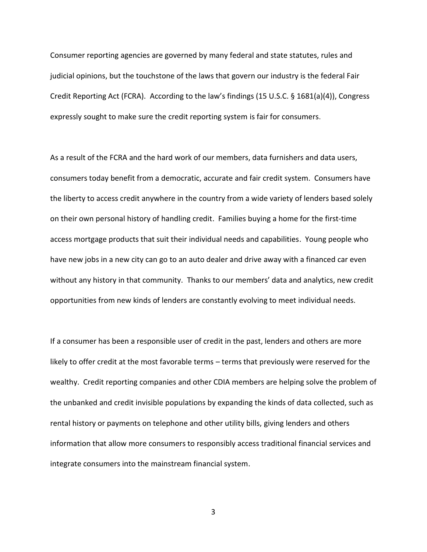Consumer reporting agencies are governed by many federal and state statutes, rules and judicial opinions, but the touchstone of the laws that govern our industry is the federal Fair Credit Reporting Act (FCRA). According to the law's findings (15 U.S.C. § 1681(a)(4)), Congress expressly sought to make sure the credit reporting system is fair for consumers.

As a result of the FCRA and the hard work of our members, data furnishers and data users, consumers today benefit from a democratic, accurate and fair credit system. Consumers have the liberty to access credit anywhere in the country from a wide variety of lenders based solely on their own personal history of handling credit. Families buying a home for the first-time access mortgage products that suit their individual needs and capabilities. Young people who have new jobs in a new city can go to an auto dealer and drive away with a financed car even without any history in that community. Thanks to our members' data and analytics, new credit opportunities from new kinds of lenders are constantly evolving to meet individual needs.

If a consumer has been a responsible user of credit in the past, lenders and others are more likely to offer credit at the most favorable terms – terms that previously were reserved for the wealthy. Credit reporting companies and other CDIA members are helping solve the problem of the unbanked and credit invisible populations by expanding the kinds of data collected, such as rental history or payments on telephone and other utility bills, giving lenders and others information that allow more consumers to responsibly access traditional financial services and integrate consumers into the mainstream financial system.

3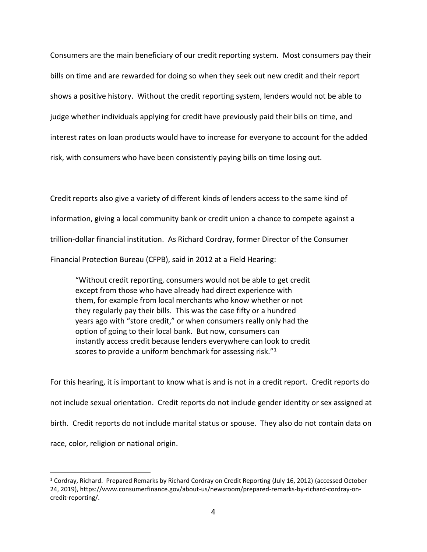Consumers are the main beneficiary of our credit reporting system. Most consumers pay their bills on time and are rewarded for doing so when they seek out new credit and their report shows a positive history. Without the credit reporting system, lenders would not be able to judge whether individuals applying for credit have previously paid their bills on time, and interest rates on loan products would have to increase for everyone to account for the added risk, with consumers who have been consistently paying bills on time losing out.

Credit reports also give a variety of different kinds of lenders access to the same kind of information, giving a local community bank or credit union a chance to compete against a trillion-dollar financial institution. As Richard Cordray, former Director of the Consumer Financial Protection Bureau (CFPB), said in 2012 at a Field Hearing:

"Without credit reporting, consumers would not be able to get credit except from those who have already had direct experience with them, for example from local merchants who know whether or not they regularly pay their bills. This was the case fifty or a hundred years ago with "store credit," or when consumers really only had the option of going to their local bank. But now, consumers can instantly access credit because lenders everywhere can look to credit scores to provide a uniform benchmark for assessing risk."<sup>1</sup>

For this hearing, it is important to know what is and is not in a credit report. Credit reports do not include sexual orientation. Credit reports do not include gender identity or sex assigned at birth. Credit reports do not include marital status or spouse. They also do not contain data on race, color, religion or national origin.

<sup>1</sup> Cordray, Richard. Prepared Remarks by Richard Cordray on Credit Reporting (July 16, 2012) (accessed October 24, 2019), https://www.consumerfinance.gov/about-us/newsroom/prepared-remarks-by-richard-cordray-oncredit-reporting/.